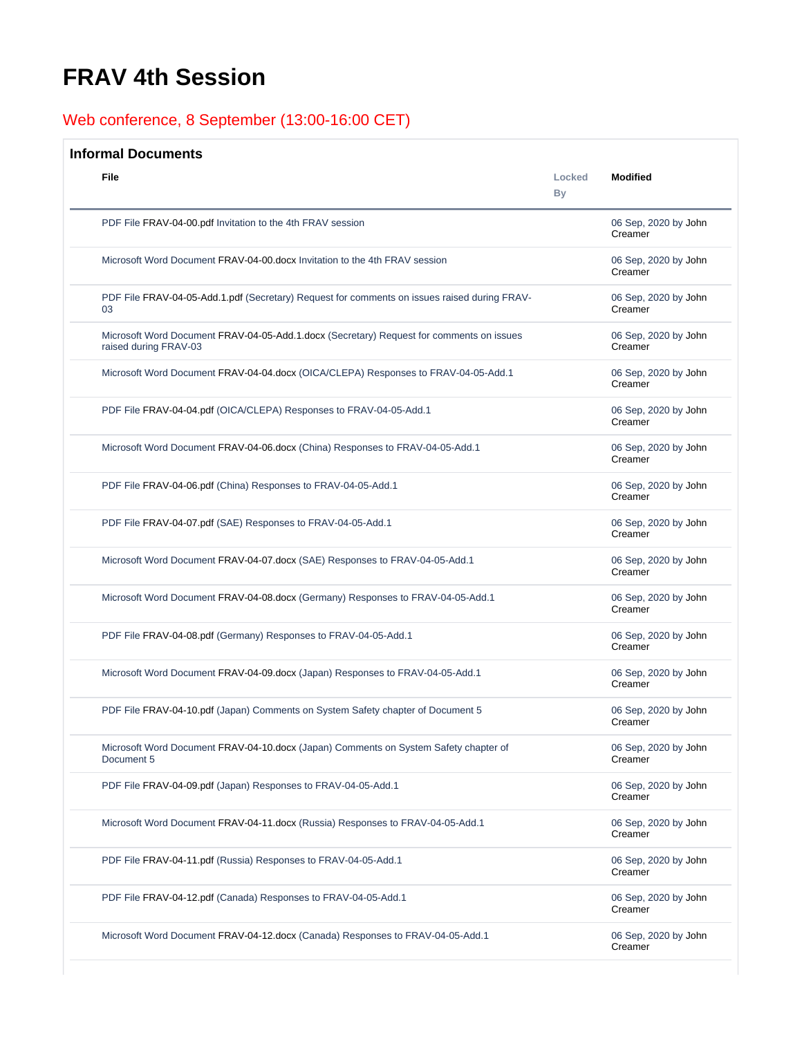## <span id="page-0-0"></span>**FRAV 4th Session**

## Web conference, 8 September (13:00-16:00 CET)

## **Informal Documents**

| File                                                                                                              | Locked<br><b>By</b> | <b>Modified</b>                 |
|-------------------------------------------------------------------------------------------------------------------|---------------------|---------------------------------|
| PDF File FRAV-04-00.pdf Invitation to the 4th FRAV session                                                        |                     | 06 Sep, 2020 by John<br>Creamer |
| Microsoft Word Document FRAV-04-00.docx Invitation to the 4th FRAV session                                        |                     | 06 Sep, 2020 by John<br>Creamer |
| PDF File FRAV-04-05-Add.1.pdf (Secretary) Request for comments on issues raised during FRAV-<br>03                |                     | 06 Sep, 2020 by John<br>Creamer |
| Microsoft Word Document FRAV-04-05-Add.1.docx (Secretary) Request for comments on issues<br>raised during FRAV-03 |                     | 06 Sep, 2020 by John<br>Creamer |
| Microsoft Word Document FRAV-04-04.docx (OICA/CLEPA) Responses to FRAV-04-05-Add.1                                |                     | 06 Sep, 2020 by John<br>Creamer |
| PDF File FRAV-04-04.pdf (OICA/CLEPA) Responses to FRAV-04-05-Add.1                                                |                     | 06 Sep, 2020 by John<br>Creamer |
| Microsoft Word Document FRAV-04-06.docx (China) Responses to FRAV-04-05-Add.1                                     |                     | 06 Sep, 2020 by John<br>Creamer |
| PDF File FRAV-04-06.pdf (China) Responses to FRAV-04-05-Add.1                                                     |                     | 06 Sep, 2020 by John<br>Creamer |
| PDF File FRAV-04-07.pdf (SAE) Responses to FRAV-04-05-Add.1                                                       |                     | 06 Sep, 2020 by John<br>Creamer |
| Microsoft Word Document FRAV-04-07.docx (SAE) Responses to FRAV-04-05-Add.1                                       |                     | 06 Sep, 2020 by John<br>Creamer |
| Microsoft Word Document FRAV-04-08.docx (Germany) Responses to FRAV-04-05-Add.1                                   |                     | 06 Sep, 2020 by John<br>Creamer |
| PDF File FRAV-04-08.pdf (Germany) Responses to FRAV-04-05-Add.1                                                   |                     | 06 Sep, 2020 by John<br>Creamer |
| Microsoft Word Document FRAV-04-09.docx (Japan) Responses to FRAV-04-05-Add.1                                     |                     | 06 Sep, 2020 by John<br>Creamer |
| PDF File FRAV-04-10.pdf (Japan) Comments on System Safety chapter of Document 5                                   |                     | 06 Sep, 2020 by John<br>Creamer |
| Microsoft Word Document FRAV-04-10.docx (Japan) Comments on System Safety chapter of<br>Document 5                |                     | 06 Sep, 2020 by John<br>Creamer |
| PDF File FRAV-04-09.pdf (Japan) Responses to FRAV-04-05-Add.1                                                     |                     | 06 Sep, 2020 by John<br>Creamer |
| Microsoft Word Document FRAV-04-11.docx (Russia) Responses to FRAV-04-05-Add.1                                    |                     | 06 Sep, 2020 by John<br>Creamer |
| PDF File FRAV-04-11.pdf (Russia) Responses to FRAV-04-05-Add.1                                                    |                     | 06 Sep, 2020 by John<br>Creamer |
| PDF File FRAV-04-12.pdf (Canada) Responses to FRAV-04-05-Add.1                                                    |                     | 06 Sep, 2020 by John<br>Creamer |
| Microsoft Word Document FRAV-04-12.docx (Canada) Responses to FRAV-04-05-Add.1                                    |                     | 06 Sep, 2020 by John<br>Creamer |